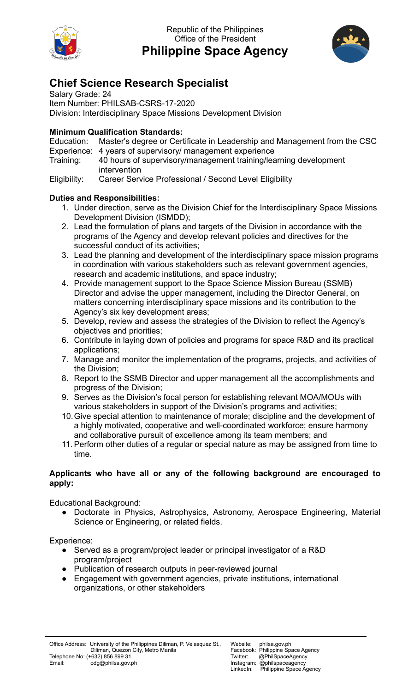

Republic of the Philippines Office of the President **Philippine Space Agency**



# **Chief Science Research Specialist**

Salary Grade: 24 Item Number: PHILSAB-CSRS-17-2020 Division: Interdisciplinary Space Missions Development Division

### **Minimum Qualification Standards:**

Education: Master's degree or Certificate in Leadership and Management from the CSC Experience: 4 years of supervisory/ management experience

Training: 40 hours of supervisory/management training/learning development intervention

Eligibility: Career Service Professional / Second Level Eligibility

## **Duties and Responsibilities:**

- 1. Under direction, serve as the Division Chief for the Interdisciplinary Space Missions Development Division (ISMDD);
- 2. Lead the formulation of plans and targets of the Division in accordance with the programs of the Agency and develop relevant policies and directives for the successful conduct of its activities;
- 3. Lead the planning and development of the interdisciplinary space mission programs in coordination with various stakeholders such as relevant government agencies, research and academic institutions, and space industry;
- 4. Provide management support to the Space Science Mission Bureau (SSMB) Director and advise the upper management, including the Director General, on matters concerning interdisciplinary space missions and its contribution to the Agency's six key development areas;
- 5. Develop, review and assess the strategies of the Division to reflect the Agency's objectives and priorities;
- 6. Contribute in laying down of policies and programs for space R&D and its practical applications;
- 7. Manage and monitor the implementation of the programs, projects, and activities of the Division;
- 8. Report to the SSMB Director and upper management all the accomplishments and progress of the Division;
- 9. Serves as the Division's focal person for establishing relevant MOA/MOUs with various stakeholders in support of the Division's programs and activities;
- 10.Give special attention to maintenance of morale; discipline and the development of a highly motivated, cooperative and well-coordinated workforce; ensure harmony and collaborative pursuit of excellence among its team members; and
- 11. Perform other duties of a regular or special nature as may be assigned from time to time.

#### **Applicants who have all or any of the following background are encouraged to apply:**

Educational Background:

● Doctorate in Physics, Astrophysics, Astronomy, Aerospace Engineering, Material Science or Engineering, or related fields.

Experience:

- Served as a program/project leader or principal investigator of a R&D program/project
- Publication of research outputs in peer-reviewed journal
- Engagement with government agencies, private institutions, international organizations, or other stakeholders